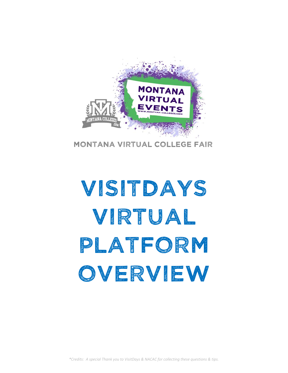

Montana virtual College fair

# Visitdays virtual PLATFORM overview

*\*Credits: A special Thank you to VisitDays & NACAC for collecting these questions & tips.*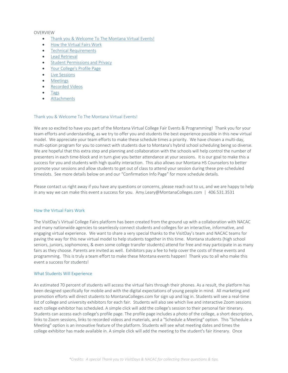## OVERVIEW

- Thank you & Welcome To The Montana Virtual Events!
- How the Virtual Fairs Work
- Technical Requirements
- Lead Retrieval
- **Student Permissions and Privacy**
- Your College's Profile Page
- Live Sessions
- Meetings
- Recorded Videos
- Tags
- Attachments

# Thank you & Welcome To The Montana Virtual Events!

We are so excited to have you part of the Montana Virtual College Fair Events & Programming! Thank you for your team efforts and understanding, as we try to offer you and students the best experience possible in this new virtual model. We appreciate your team efforts to make these schedule times a priority. We have chosen a multi‐day, multi-option program for you to connect with students due to Montana's hybrid school scheduling being so diverse. We are hopeful that this extra step and planning and collaboration with the schools will help control the number of presenters in each time‐block and in turn give you better attendance at your sessions. It is our goal to make this a success for you and students with high quality interaction. This also allows our Montana HS Counselors to better promote your sessions and allow students to get out of class to attend your session during these pre‐scheduled timeslots. See more details below on and our "Confirmation Info Page" for more schedule details.

Please contact us right away if you have any questions or concerns, please reach out to us, and we are happy to help in any way we can make this event a success for you. Amy.Leary@MontanaColleges.com | 406.531.3531

## How the Virtual Fairs Work

The VisitDay's Virtual College Fairs platform has been created from the ground up with a collaboration with NACAC and many nationwide agencies to seamlessly connect students and colleges for an interactive, informative, and engaging virtual experience. We want to share a very special thanks to the VisitDay's team and NACAC teams for paving the way for this new virtual model to help students together in this time. Montana students (high school seniors, juniors, sophomores, & even some college transfer students) attend for free and may participate in as many fairs as they choose. Parents are invited as well. Exhibitors pay a fee to help cover the costs of these events and programming. This is truly a team effort to make these Montana events happen! Thank you to all who make this event a success for students!

## What Students Will Experience

An estimated 70 percent of students will access the virtual fairs through their phones. As a result, the platform has been designed specifically for mobile and with the digital expectations of young people in mind. All marketing and promotion efforts will direct students to MontanaColleges.com for sign up and log in. Students will see a real‐time list of college and university exhibitors for each fair. Students will also see which live and interactive Zoom sessions each college exhibitor has scheduled. A simple click will add the college's session to their personal fair itinerary. Students can access each college's profile page. The profile page includes a photo of the college, a short description, links to Zoom sessions, links to recorded videos and materials, and a "Schedule a Meeting" option. This "Schedule a Meeting" option is an innovative feature of the platform. Students will see what meeting dates and times the college exhibitor has made available in. A simple click will add the meeting to the student's fair itinerary. Once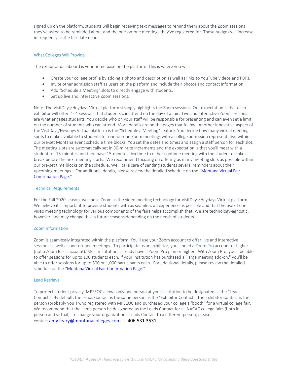signed up on the platform, students will begin receiving text messages to remind them about the Zoom sessions they've asked to be reminded about and the one‐on‐one meetings they've registered for. These nudges will increase in frequency as the fair date nears.

## What Colleges Will Provide

The exhibitor dashboard is your home base on the platform. This is where you will:

- Create your college profile by adding a photo and description as well as links to YouTube videos and PDFs.
- Invite other admission staff as users on the platform and include their photos and contact information.
- Add "Schedule a Meeting" slots to directly engage with students.
- Set up live and interactive Zoom sessions.

Note: The VisitDays/Heydays Virtual platform strongly highlights the Zoom sessions. Our expectation is that each exhibitor will offer 2 - 4 sessions that students can attend on the day of a fair. Live and interactive Zoom sessions are what engages students. You decide who on your staff will be responsible for presenting and can even set a limit on the number of students who can attend. More details are on the pages that follow. Another innovative aspect of the VisitDays/Heydays Virtual platform is the "Schedule a Meeting" feature. You decide how many virtual meeting spots to make available to students for one‐on‐one Zoom meetings with a college admission representative within our pre‐set Montana event schedule time blocks. You set the dates and times and assign a staff person for each slot. The meeting slots are automatically set in 30‐minute increments and the expectation is that you'll meet with a student for 15‐minutes and then have 15‐minutes flex time to either continue meeting with the student or take a break before the next meeting starts. We recommend focusing on offering as many meeting slots as possible within our pre‐set time blocks on the schedule. We'll take care of sending students several reminders about their upcoming meetings. For additional details, please review the detailed schedule on the "Montana Virtual Fair Confirmation Page."

## Technical Requirements

For the Fall 2020 season, we chose Zoom as the video meeting technology for VisitDays/Heydays Virtual platform. We believe it's important to provide students with as seamless an experience as possible and that the use of one video meeting technology for various components of the fairs helps accomplish that. We are technology-agnostic, however, and may change this in future seasons depending on the needs of students.

## Zoom Information

Zoom is seamlessly integrated within the platform. You'll use your Zoom account to offer live and interactive sessions as well as one-on-one meetings. To participate as an exhibitor, you'll need a Zoom Pro account or higher (not a Zoom Basic account). Most institutions already have a Zoom Pro plan or higher. With Zoom Pro, you'll be able to offer sessions for up to 100 students each. If your institution has purchased a "large meeting add‐on," you'll be able to offer sessions for up to 500 or 1,000 participants each. For additional details, please review the detailed schedule on the "Montana Virtual Fair Confirmation Page."

## Lead Retrieval

To protect student privacy, MPSEOC allows only one person at your institution to be designated as the "Leads Contact." By default, the Leads Contact is the same person as the "Exhibitor Contact." The Exhibitor Contact is the person (probably you!) who registered with MPSEOC and purchased your college's "booth" for a virtual college fair. We recommend that the same person be designated as the Leads Contact for all NACAC college fairs (both inperson and virtual). To change your organization's Leads Contact to a different person, please contact amy.leary@montanacolleges.com | 406.531.3531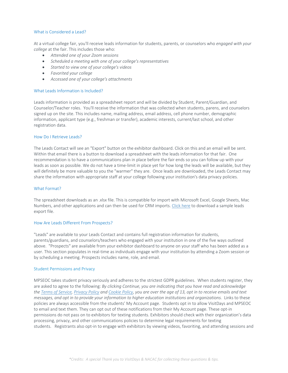## What is Considered a Lead?

At a virtual college fair, you'll receive leads information for students, parents, or counselors who *engaged with your college* at the fair. This includes those who:

- *Attended one of your Zoom sessions*
- *Scheduled a meeting with one of your college's representatives*
- *Started to view one of your college's videos*
- *Favorited your college*
- *Accessed one of your college's attachments*

## What Leads Information is Included?

Leads information is provided as a spreadsheet report and will be divided by Student, Parent/Guardian, and Counselor/Teacher roles. You'll receive the information that was collected when students, parens, and counselors signed up on the site. This includes name, mailing address, email address, cell phone number, demographic information, applicant type (e.g., freshman or transfer), academic interests, current/last school, and other registration data.

## How Do I Retrieve Leads?

The Leads Contact will see an "Export" button on the exhibitor dashboard. Click on this and an email will be sent. Within that email there is a button to download a spreadsheet with the leads information for that fair. One recommendation is to have a communications plan in place before the fair ends so you can follow up with your leads as soon as possible. We do not have a time-limit in place yet for how long the leads will be available, but they will definitely be more valuable to you the "warmer" they are. Once leads are downloaded, the Leads Contact may share the information with appropriate staff at your college following your institution's data privacy policies.

#### What Format?

The spreadsheet downloads as an .xlsx file. This is compatible for import with Microsoft Excel, Google Sheets, Mac Numbers, and other applications and can then be used for CRM imports. Click here to download a sample leads export file.

## How Are Leads Different From Prospects?

"Leads" are available to your Leads Contact and contains full registration information for students, parents/guardians, and counselors/teachers who engaged with your institution in one of the five ways outlined above. "Prospects" are available from your exhibitor dashboard to anyone on your staff who has been added as a user. This section populates in real‐time as individuals engage with your institution by attending a Zoom session or by scheduling a meeting. Prospects includes name, role, and email.

## Student Permissions and Privacy

MPSEOC takes student privacy seriously and adheres to the strictest GDPR guidelines. When students register, they are asked to agree to the following: *By clicking Continue, you are indicating that you have read and acknowledge the Terms of Service, Privacy Policy and Cookie Policy, you are over the age of 13, opt in to receive emails and text messages, and opt in to provide your information to higher education institutions and organizations.* Links to these policies are always accessible from the students' My Account page. Students opt in to allow VisitDays and MPSEOC to email and text them. They can opt out of these notifications from their My Account page. These opt-in permissions do not pass on to exhibitors for texting students. Exhibitors should check with their organization's data processing, privacy, and other communications policies to determine legal requirements for texting students. Registrants also opt-in to engage with exhibitors by viewing videos, favoriting, and attending sessions and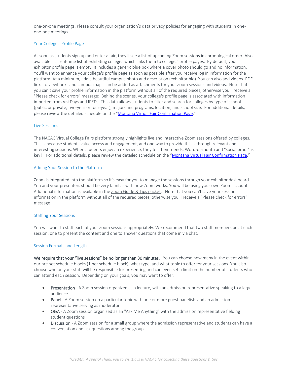one‐on‐one meetings. Please consult your organization's data privacy policies for engaging with students in one‐ one‐one meetings.

## Your College's Profile Page

As soon as students sign up and enter a fair, they'll see a list of upcoming Zoom sessions in chronological order. Also available is a real‐time list of exhibiting colleges which links them to colleges' profile pages. By default, your exhibitor profile page is empty. It includes a generic blue box where a cover photo should go and no information. You'll want to enhance your college's profile page as soon as possible after you receive log in information for the platform. At a minimum, add a beautiful campus photo and description (exhibitor bio). You can also add videos. PDF links to viewbooks and campus maps can be added as attachments for your Zoom sessions and videos. Note that you can't save your profile information in the platform without all of the required pieces, otherwise you'll receive a "Please check for errors" message: Behind the scenes, your college's profile page is associated with information imported from VistDays and IPEDs. This data allows students to filter and search for colleges by type of school (public or private, two‐year or four‐year), majors and programs, location, and school size. For additional details, please review the detailed schedule on the "Montana Virtual Fair Confirmation Page."

## Live Sessions

The NACAC Virtual College Fairs platform strongly highlights live and interactive Zoom sessions offered by colleges. This is because students value access and engagement, and one way to provide this is through relevant and interesting sessions. When students enjoy an experience, they tell their friends. Word‐of‐mouth and "social proof" is key! For additional details, please review the detailed schedule on the "Montana Virtual Fair Confirmation Page."

#### Adding Your Session to the Platform

Zoom is integrated into the platform so it's easy for you to manage the sessions through your exhibitor dashboard. You and your presenters should be very familiar with how Zoom works. You will be using your own Zoom account. Additional information is available in the Zoom Guide & Tips packet. Note that you can't save your session information in the platform without all of the required pieces, otherwise you'll receive a "Please check for errors" message.

## Staffing Your Sessions

You will want to staff each of your Zoom sessions appropriately. We recommend that two staff members be at each session, one to present the content and one to answer questions that come in via chat.

## Session Formats and Length

We require that your "live sessions" be no longer than 30 minutes. You can choose how many in the event within our pre‐set schedule blocks (1 per schedule block), what type, and what topic to offer for your sessions. You also choose who on your staff will be responsible for presenting and can even set a limit on the number of students who can attend each session. Depending on your goals, you may want to offer:

- Presentation A Zoom session organized as a lecture, with an admission representative speaking to a large audience
- Panel A Zoom session on a particular topic with one or more guest panelists and an admission representative serving as moderator
- Q&A A Zoom session organized as an "Ask Me Anything" with the admission representative fielding student questions
- Discussion A Zoom session for a small group where the admission representative and students can have a conversation and ask questions among the group.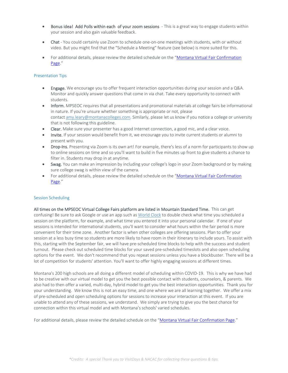- Bonus idea! Add Polls within each of your zoom sessions This is a great way to engage students within your session and also gain valuable feedback.
- Chat You could certainly use Zoom to schedule one-on-one meetings with students, with or without video. But you might find that the "Schedule a Meeting" feature (see below) is more suited for this.
- For additional details, please review the detailed schedule on the "Montana Virtual Fair Confirmation Page."

## Presentation Tips

- Engage. We encourage you to offer frequent interaction opportunities during your session and a Q&A. Monitor and quickly answer questions that come in via chat. Take every opportunity to connect with students.
- Inform. MPSEOC requires that all presentations and promotional materials at college fairs be informational in nature. If you're unsure whether something is appropriate or not, please contact amy.leary@montanacolleges.com. Similarly, please let us know if you notice a college or university that is not following this guideline.
- Clear. Make sure your presenter has a good Internet connection, a good mic, and a clear voice.
- Invite. If your session would benefit from it, we encourage you to invite current students or alumni to present with you.
- Drop-Ins. Presenting via Zoom is its own art! For example, there's less of a norm for participants to show up to online sessions on time and so you'll want to build in five minutes up front to give students a chance to filter in. Students may drop in at anytime.
- Swag. You can make an impression by including your college's logo in your Zoom background or by making sure college swag is within view of the camera.
- For additional details, please review the detailed schedule on the "Montana Virtual Fair Confirmation Page."

## Session Scheduling

All times on the MPSEOC Virtual College Fairs platform are listed in Mountain Standard Time. This can get confusing! Be sure to ask Google or use an app such as World Clock to double check what time you scheduled a session on the platform, for example, and what time you entered it into your personal calendar. If one of your sessions is intended for international students, you'll want to consider what hours within the fair period is more convenient for their time zone. Another factor is when other colleges are offering sessions. Plan to offer your session at a less busy time so students are more likely to have room in their itinerary to include yours. To assist with this, starting with the September fair, we will have pre‐scheduled time blocks to help with the success and student turnout. Please check out scheduled time blocks for your saved pre‐scheduled timeslots and also open scheduling options for the event. We don't recommend that you repeat sessions unless you have a blockbuster. There will be a lot of competition for students' attention. You'll want to offer highly engaging sessions at different times.

Montana's 200 high schools are all doing a different model of scheduling within COVID‐19. This is why we have had to be creative with our virtual model to get you the best possible contact with students, counselors, & parents. We also had to then offer a varied, multi-day, hybrid model to get you the best interaction opportunities. Thank you for your understanding. We know this is not an easy time, and one where we are all learning together. We offer a mix of pre‐scheduled and open scheduling options for sessions to increase your interaction at this event. If you are unable to attend any of these sessions, we understand. We simply are trying to give you the best chance for connection within this virtual model and with Montana's schools' varied schedules.

For additional details, please review the detailed schedule on the "Montana Virtual Fair Confirmation Page."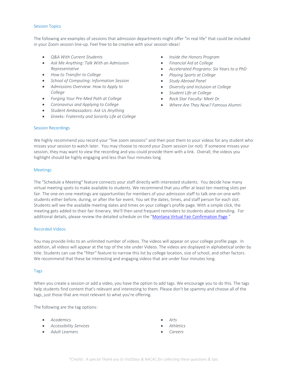#### Session Topics

The following are examples of sessions that admission departments might offer "in real life" that could be included in your Zoom session line‐up. Feel free to be creative with your session ideas!

- *Q&A With Current Students*
- *Ask Me Anything: Talk With an Admission Representative*
- *How to Transfer to College*
- *School of Computing: Information Session*
- *Admissions Overview: How to Apply to College*
- *Forging Your Pre‐Med Path at College*
- *Coronavirus and Applying to College*
- *Student Ambassadors: Ask Us Anything*
- *Greeks: Fraternity and Sorority Life at College*
- *Inside the Honors Program*
- *Financial Aid at College*
- *Accelerated Programs: Six Years to a PhD*
- *Playing Sports at College*
- *Study Abroad Panel*
- *Diversity and Inclusion at College*
- *Student Life at College*
- *Rock Star Faculty: Meet Dr.*
- *Where Are They Now? Famous Alumni*

## Session Recordings

We highly recommend you record your "live zoom sessions" and then post them to your videos for any student who misses your session to watch later. You may choose to record your Zoom session (or not). If someone misses your session, they may want to view the recording and you could provide them with a link. Overall, the videos you highlight should be highly engaging and less than four minutes long.

## Meetings

The "Schedule a Meeting" feature connects your staff directly with interested students. You decide how many virtual meeting spots to make available to students. We recommend that you offer at least ten meeting slots per fair. The one-on-one meetings are opportunities for members of your admission staff to talk one-on-one with students either before, during, or after the fair event. You set the dates, times, and staff person for each slot. Students will see the available meeting dates and times on your college's profile page. With a simple click, the meeting gets added to their fair itinerary. We'll then send frequent reminders to students about attending. For additional details, please review the detailed schedule on the "Montana Virtual Fair Confirmation Page."

## Recorded Videos

You may provide links to an unlimited number of videos. The videos will appear on your college profile page. In addition, all videos will appear at the top of the site under Videos. The videos are displayed in alphabetical order by title. Students can use the "filter" feature to narrow this list by college location, size of school, and other factors. We recommend that these be interesting and engaging videos that are under four minutes long.

## Tags

When you create a session or add a video, you have the option to add tags. We encourage you to do this. The tags help students find content that's relevant and interesting to them. Please don't be spammy and choose all of the tags, just those that are most relevant to what you're offering.

The following are the tag options:

- *Academics*
- *Accessibility Services*
- *Adult Learners*
- *Arts*
- *Athletics*
- *Careers*